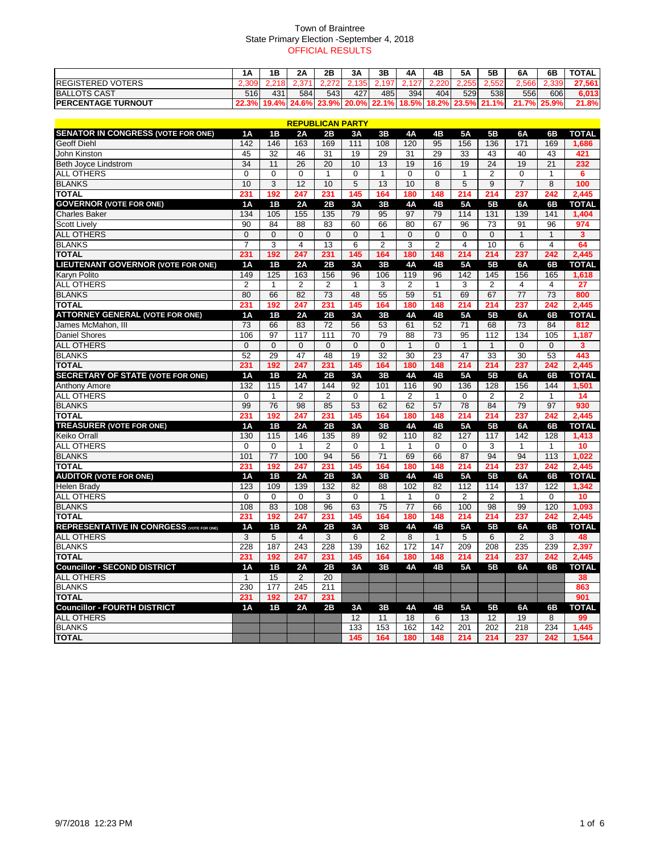### Town of Braintree State Primary Election -September 4, 2018 OFFICIAL RESULTS

|                            | <b>1A</b> | 1В                      | 2A  | 2B   | 3A             | 3B     | 4A   | 4Β         | 5Α    | 5B                         | 6A          | 6B    | <b>TOTAL</b> |
|----------------------------|-----------|-------------------------|-----|------|----------------|--------|------|------------|-------|----------------------------|-------------|-------|--------------|
| <b>IREGISTERED VOTERS</b>  |           |                         |     | הידה | 1351           | ∕ 197⊥ |      | <b>220</b> | 2.255 | 2,552                      | 2.566       | 2.339 | 27,561       |
| <b>BALLOTS CAST</b>        | 516       | 431                     | 584 | 543  | 427            | 485    | 394I | 404 l      | 529   | 538I                       | 556         | 606   | 6,013        |
| <b>IPERCENTAGE TURNOUT</b> |           | 22.3% 19.4% 24.6% 23.9% |     |      | $20.0\%$ 22.1% |        |      |            |       | $18.5\%$ 18.2% 23.5% 21.1% | 21.7% 25.9% |       | 21.8%        |

|                                           |                 |                 |                  | <b>REPUBLICAN PARTY</b> |                   |                 |                 |                 |                         |                 |                |                 |              |
|-------------------------------------------|-----------------|-----------------|------------------|-------------------------|-------------------|-----------------|-----------------|-----------------|-------------------------|-----------------|----------------|-----------------|--------------|
| <b>SENATOR IN CONGRESS (VOTE FOR ONE)</b> | <b>1A</b>       | 1B              | 2A               | 2B                      | 3A                | 3B              | <b>4A</b>       | 4B              | <b>5A</b>               | 5B              | 6A             | 6B              | <b>TOTAL</b> |
| <b>Geoff Diehl</b>                        | 142             | 146             | 163              | 169                     | 111               | 108             | 120             | 95              | 156                     | 136             | 171            | 169             | 1,686        |
| John Kinston                              | 45              | $\overline{32}$ | 46               | $\overline{31}$         | 19                | 29              | $\overline{31}$ | 29              | 33                      | 43              | 40             | 43              | 421          |
| Beth Joyce Lindstrom                      | $\overline{34}$ | 11              | $\overline{26}$  | $\overline{20}$         | 10                | 13              | 19              | 16              | 19                      | $\overline{24}$ | 19             | $\overline{21}$ | 232          |
| <b>ALL OTHERS</b>                         | $\mathbf 0$     | $\Omega$        | $\Omega$         | $\mathbf{1}$            | 0                 | 1               | $\mathbf 0$     | $\mathbf 0$     | 1                       | $\overline{2}$  | 0              | 1               | 6            |
| <b>BLANKS</b>                             | 10              | 3               | 12               | 10                      | 5                 | 13              | 10              | 8               | 5                       | 9               | $\overline{7}$ | 8               | 100          |
| <b>TOTAL</b>                              | 231             | 192             | 247              | 231                     | 145               | 164             | 180             | 148             | 214                     | 214             | 237            | 242             | 2,445        |
| <b>GOVERNOR (VOTE FOR ONE)</b>            | 1A              | 1B              | 2A               | 2B                      | 3A                | 3B              | <b>4A</b>       | 4B              | <b>5A</b>               | <b>5B</b>       | 6A             | 6B              | <b>TOTAL</b> |
| <b>Charles Baker</b>                      | 134             | 105             | 155              | 135                     | 79                | 95              | 97              | 79              | 114                     | 131             | 139            | 141             | 1,404        |
| <b>Scott Lively</b>                       | 90              | 84              | 88               | 83                      | 60                | 66              | 80              | 67              | 96                      | $\overline{73}$ | 91             | 96              | 974          |
| <b>ALL OTHERS</b>                         | $\mathbf{0}$    | $\mathbf{0}$    | $\Omega$         | $\mathbf{0}$            | $\mathbf{0}$      | 1               | $\mathbf{0}$    | $\mathbf{0}$    | $\mathbf 0$             | $\mathbf{0}$    | $\mathbf{1}$   | 1               | 3            |
| <b>BLANKS</b>                             | $\overline{7}$  | 3               | 4                | 13                      | 6                 | $\overline{c}$  | 3               | $\overline{2}$  | $\overline{\mathbf{4}}$ | 10              | 6              | $\overline{4}$  | 64           |
| <b>TOTAL</b>                              | 231             | 192             | 247              | 231                     | 145               | 164             | 180             | 148             | 214                     | 214             | 237            | 242             | 2,445        |
| <b>LIEUTENANT GOVERNOR (VOTE FOR ONE)</b> | 1A              | 1B              | 2A               | 2B                      | 3A                | 3B              | 4A              | 4B              | <b>5A</b>               | 5 <b>B</b>      | 6A             | 6B              | <b>TOTAL</b> |
| <b>Karyn Polito</b>                       | 149             | 125             | 163              | 156                     | 96                | 106             | 119             | 96              | 142                     | 145             | 156            | 165             | 1,618        |
| <b>ALL OTHERS</b>                         | $\overline{2}$  | 1               | $\overline{2}$   | $\overline{2}$          | 1                 | 3               | 2               | 1               | 3                       | $\overline{2}$  | 4              | 4               | 27           |
| <b>BLANKS</b>                             | 80              | 66              | 82               | 73                      | 48                | 55              | 59              | 51              | 69                      | 67              | 77             | 73              | 800          |
| <b>TOTAL</b>                              | 231             | 192             | 247              | 231                     | 145               | 164             | 180             | 148             | 214                     | 214             | 237            | 242             | 2.445        |
| <b>ATTORNEY GENERAL (VOTE FOR ONE)</b>    | 1A              | 1B              | 2A               | 2B                      | 3A                | 3B              | 4A              | 4B              | 5A                      | 5 <b>B</b>      | 6A             | 6B              | <b>TOTAL</b> |
| James McMahon, III                        | 73              | 66              | 83               | 72                      | 56                | 53              | 61              | 52              | 71                      | 68              | 73             | 84              | 812          |
| <b>Daniel Shores</b>                      | 106             | 97              | 117              | 111                     | 70                | 79              | $\overline{88}$ | $\overline{73}$ | 95                      | 112             | 134            | 105             | 1,187        |
| <b>ALL OTHERS</b>                         | $\Omega$        | $\Omega$        | $\Omega$         | $\Omega$                | $\Omega$          | $\Omega$        | $\mathbf{1}$    | $\mathbf{0}$    | $\mathbf{1}$            | $\mathbf{1}$    | $\Omega$       | $\mathbf 0$     | 3            |
| <b>BLANKS</b>                             | 52              | 29              | 47               | 48                      | 19                | 32              | 30              | 23              | 47                      | 33              | 30             | 53              | 443          |
| <b>TOTAL</b>                              | 231             | 192             | 247              | 231                     | 145               | 164             | 180             | 148             | 214                     | 214             | 237            | 242             | 2,445        |
| <b>SECRETARY OF STATE (VOTE FOR ONE)</b>  | 1A              | 1B              | 2A               | 2B                      | 3A                | 3B              | 4A              | 4B              | <b>5A</b>               | <b>5B</b>       | 6A             | 6B              | <b>TOTAL</b> |
| <b>Anthony Amore</b>                      | 132             | 115             | 147              | 144                     | 92                | 101             | 116             | 90              | 136                     | 128             | 156            | 144             | 1,501        |
| ALL OTHERS                                | 0               | 1               | 2                | 2                       | 0                 | 1               | $\overline{2}$  | 1               | 0                       | $\overline{c}$  | 2              | 1               | 14           |
| <b>BLANKS</b>                             | 99              | 76              | 98               | 85                      | 53                | 62              | 62              | 57              | 78                      | 84              | 79             | 97              | 930          |
| <b>TOTAL</b>                              | 231             | 192             | 247              | 231                     | 145               | 164             | 180             | 148             | 214                     | 214             | 237            | 242             | 2,445        |
| <b>TREASURER (VOTE FOR ONE)</b>           | 1A              | 1B              | 2A               | 2B                      | 3A                | 3B              | 4A              | 4B              | <b>5A</b>               | 5 <b>B</b>      | 6A             | 6B              | <b>TOTAL</b> |
| <b>Keiko Orrall</b>                       | 130             | 115             | 146              | 135                     | 89                | 92              | 110             | 82              | 127                     | 117             | 142            | 128             | 1,413        |
| <b>ALL OTHERS</b>                         | $\mathbf 0$     | $\Omega$        | $\mathbf{1}$     | $\overline{2}$          | 0                 | 1               | $\mathbf{1}$    | $\mathbf 0$     | $\mathbf 0$             | 3               | 1              | 1               | 10           |
| <b>BLANKS</b>                             | 101             | $\overline{77}$ | 100              | 94                      | 56                | 71              | 69              | 66              | 87                      | 94              | 94             | 113             | 1,022        |
| <b>TOTAL</b>                              | 231             | 192             | 247              | 231                     | 145               | 164             | 180             | 148             | 214                     | 214             | 237            | 242             | 2,445        |
| <b>AUDITOR (VOTE FOR ONE)</b>             | 1A              | 1B              | 2A               | 2B                      | 3A                | 3B              | <b>4A</b>       | 4B              | <b>5A</b>               | 5B              | 6A             | 6B              | <b>TOTAL</b> |
| <b>Helen Brady</b>                        | 123             | 109             | 139              | 132                     | 82                | 88              | 102             | 82              | 112                     | 114             | 137            | 122             | 1,342        |
| <b>ALL OTHERS</b>                         | $\Omega$        | $\Omega$        | $\Omega$         | 3                       | 0                 | 1               | 1               | $\Omega$        | $\overline{c}$          | $\overline{2}$  | 1              | $\Omega$        | 10           |
| <b>BLANKS</b>                             | 108             | 83              | 108              | 96                      | 63                | $\overline{75}$ | $\overline{77}$ | 66              | 100                     | 98              | 99             | 120             | 1,093        |
| <b>TOTAL</b>                              | 231             | 192             | 247              | 231                     | 145               | 164             | 180             | 148             | 214                     | 214             | 237            | 242             | 2,445        |
| REPRESENTATIVE IN CONRGESS (VOTE FOR ONE) | 1A              | 1B              | 2A               | 2B                      | 3A                | 3B              | <b>4A</b>       | 4B              | <b>5A</b>               | 5B              | 6A             | 6B              | <b>TOTAL</b> |
| <b>ALL OTHERS</b>                         | 3               | 5               | $\overline{4}$   | 3                       | 6                 | $\overline{2}$  | 8               | $\mathbf{1}$    | 5                       | 6               | $\overline{2}$ | 3               | 48           |
| <b>BLANKS</b>                             | 228             | 187             | $\overline{243}$ | 228                     | 139               | 162             | 172             | 147             | $\overline{209}$        | 208             | 235            | 239             | 2,397        |
| <b>TOTAL</b>                              | 231             | 192             | 247              | 231                     | 145               | 164             | 180             | 148             | 214                     | 214             | 237            | 242             | 2,445        |
| <b>Councillor - SECOND DISTRICT</b>       | <b>1A</b>       | 1B              | 2A               | 2B                      | 3A                | 3B              | <b>4A</b>       | 4B              | 5A                      | 5B              | 6A             | 6B              | <b>TOTAL</b> |
| <b>ALL OTHERS</b>                         | $\mathbf{1}$    | 15              | 2                | 20                      |                   |                 |                 |                 |                         |                 |                |                 | 38           |
| <b>BLANKS</b>                             | 230             | 177             | 245              | 211                     |                   |                 |                 |                 |                         |                 |                |                 | 863          |
| <b>TOTAL</b>                              | 231             | 192             | 247              | 231                     |                   |                 |                 |                 |                         |                 |                |                 | 901          |
| <b>Councillor - FOURTH DISTRICT</b>       | <b>1A</b>       | 1B              | 2A               | 2B                      | 3A                | 3B              | <b>4A</b>       | 4B              | <b>5A</b>               | 5B              | 6A             | 6B              | <b>TOTAL</b> |
| <b>ALL OTHERS</b>                         |                 |                 |                  |                         | $12 \overline{ }$ | 11              | 18              | 6               | 13                      | $12 \,$         | 19             | 8               | 99           |
| <b>BLANKS</b>                             |                 |                 |                  |                         | 133               | 153             | 162             | 142             | 201                     | 202             | 218            | 234             | 1,445        |
| <b>TOTAL</b>                              |                 |                 |                  |                         | 145               | 164             | 180             | 148             | 214                     | 214             | 237            | 242             | 1,544        |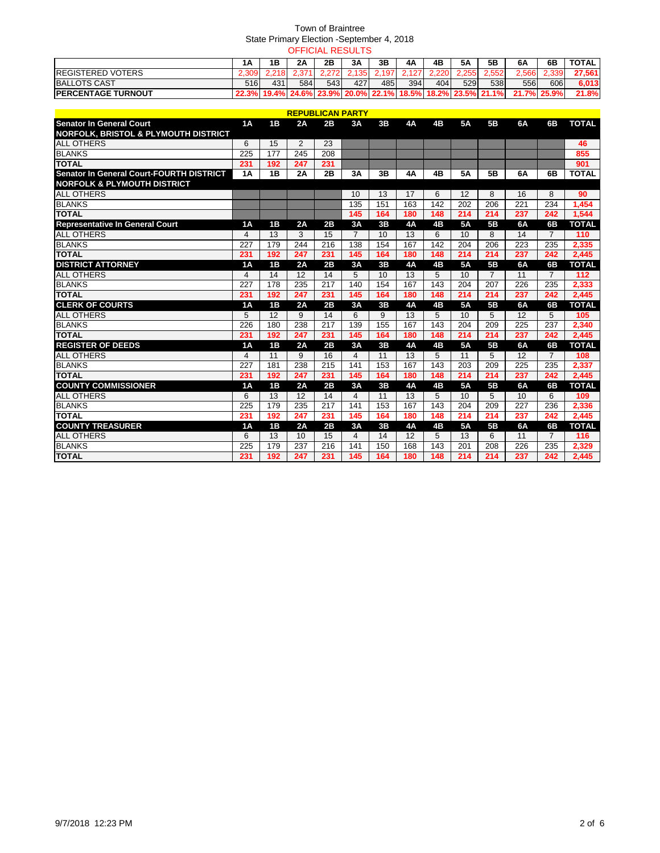|                            |      |     |                  | <b>OFFICIAL RESULTS</b> |      |      |       |       |       |                                                             |       |             |              |
|----------------------------|------|-----|------------------|-------------------------|------|------|-------|-------|-------|-------------------------------------------------------------|-------|-------------|--------------|
|                            | 1Α   | 1Β  | 2Α               | 2Β                      | ЗΑ   | 3Β   | 4A    | 4B    | 5A    | 5Β                                                          | 6A    | 6B          | <b>TOTAL</b> |
| <b>IREGISTERED VOTERS</b>  |      |     |                  | 272                     | 1351 | .197 | 2.127 | 2.220 | 2.255 | 2.552                                                       | 2.566 | 2.339       | 27,561       |
| <b>BALLOTS CAST</b>        | 516l | 431 | 584 <sub>1</sub> | 543I                    | 427  | 485  | 394   | 4041  | 529   | 538l                                                        | 556I  | 606         | 6.013        |
| <b>IPERCENTAGE TURNOUT</b> |      |     |                  |                         |      |      |       |       |       | 22.3% 19.4% 24.6% 23.9% 20.0% 22.1% 18.5% 18.2% 23.5% 21.1% |       | 21.7% 25.9% | 21.8%        |

|                                          |                  |                 |                 | <b>REPUBLICAN PARTY</b> |                |     |           |                  |           |                  |                  |                |              |
|------------------------------------------|------------------|-----------------|-----------------|-------------------------|----------------|-----|-----------|------------------|-----------|------------------|------------------|----------------|--------------|
| <b>Senator In General Court</b>          | 1A               | 1B              | 2A              | 2B                      | 3A             | 3B  | 4A        | 4B               | <b>5A</b> | 5B               | 6A               | 6B             | <b>TOTAL</b> |
| NORFOLK, BRISTOL & PLYMOUTH DISTRICT     |                  |                 |                 |                         |                |     |           |                  |           |                  |                  |                |              |
| <b>ALL OTHERS</b>                        | 6                | 15              | 2               | 23                      |                |     |           |                  |           |                  |                  |                | 46           |
| <b>BLANKS</b>                            | $\overline{225}$ | 177             | 245             | $\overline{208}$        |                |     |           |                  |           |                  |                  |                | 855          |
| <b>TOTAL</b>                             | 231              | 192             | 247             | 231                     |                |     |           |                  |           |                  |                  |                | 901          |
| Senator In General Court-FOURTH DISTRICT | 1A               | 1B              | 2A              | 2B                      | 3A             | 3B  | 4A        | 4B               | <b>5A</b> | 5B               | 6A               | 6B             | <b>TOTAL</b> |
| <b>NORFOLK &amp; PLYMOUTH DISTRICT</b>   |                  |                 |                 |                         |                |     |           |                  |           |                  |                  |                |              |
| <b>ALL OTHERS</b>                        |                  |                 |                 |                         | 10             | 13  | 17        | 6                | 12        | 8                | 16               | 8              | 90           |
| <b>BLANKS</b>                            |                  |                 |                 |                         | 135            | 151 | 163       | 142              | 202       | 206              | 221              | 234            | 1,454        |
| <b>TOTAL</b>                             |                  |                 |                 |                         | 145            | 164 | 180       | 148              | 214       | 214              | 237              | 242            | 1,544        |
| <b>Representative In General Court</b>   | 1A               | 1B              | 2A              | 2B                      | 3A             | 3B  | <b>4A</b> | 4B               | <b>5A</b> | 5B               | 6A               | 6B             | <b>TOTAL</b> |
| <b>ALL OTHERS</b>                        | 4                | 13              | 3               | 15                      | $\overline{7}$ | 10  | 13        | 6                | 10        | 8                | 14               | $\overline{7}$ | 110          |
| <b>BLANKS</b>                            | 227              | 179             | 244             | 216                     | 138            | 154 | 167       | 142              | 204       | 206              | 223              | 235            | 2,335        |
| <b>TOTAL</b>                             | 231              | 192             | 247             | 231                     | 145            | 164 | 180       | 148              | 214       | 214              | 237              | 242            | 2,445        |
| <b>DISTRICT ATTORNEY</b>                 | 1A               | 1B              | 2A              | 2B                      | 3A             | 3B  | <b>4A</b> | 4 <sub>B</sub>   | <b>5A</b> | 5 <sub>B</sub>   | 6A               | 6B             | <b>TOTAL</b> |
| <b>ALL OTHERS</b>                        | 4                | 14              | 12              | 14                      | 5              | 10  | 13        | 5                | 10        | 7                | 11               | $\overline{7}$ | 112          |
| <b>BLANKS</b>                            | $\overline{227}$ | 178             | 235             | $\overline{217}$        | 140            | 154 | 167       | 143              | 204       | $\overline{207}$ | $\overline{226}$ | 235            | 2,333        |
| <b>TOTAL</b>                             | 231              | 192             | 247             | 231                     | 145            | 164 | 180       | 148              | 214       | 214              | 237              | 242            | 2,445        |
| <b>CLERK OF COURTS</b>                   | 1A               | 1B              | 2A              | 2B                      | 3A             | 3B  | <b>4A</b> | 4B               | <b>5A</b> | 5 <b>B</b>       | 6A               | 6B             | <b>TOTAL</b> |
| <b>ALL OTHERS</b>                        | 5                | 12              | 9               | 14                      | 6              | 9   | 13        | 5                | 10        | 5                | 12               | 5              | 105          |
| <b>BLANKS</b>                            | 226              | 180             | 238             | 217                     | 139            | 155 | 167       | $\overline{143}$ | 204       | 209              | 225              | 237            | 2,340        |
| <b>TOTAL</b>                             | 231              | 192             | 247             | 231                     | 145            | 164 | 180       | 148              | 214       | 214              | 237              | 242            | 2,445        |
| <b>REGISTER OF DEEDS</b>                 | 1A               | 1B              | 2A              | 2B                      | 3A             | 3B  | <b>4A</b> | 4B               | <b>5A</b> | 5B               | 6A               | 6B             | <b>TOTAL</b> |
| <b>ALL OTHERS</b>                        | 4                | 11              | 9               | 16                      | 4              | 11  | 13        | 5                | 11        | 5                | 12               | $\overline{7}$ | 108          |
| <b>BLANKS</b>                            | 227              | 181             | 238             | 215                     | 141            | 153 | 167       | 143              | 203       | 209              | 225              | 235            | 2,337        |
| <b>TOTAL</b>                             | 231              | 192             | 247             | 231                     | 145            | 164 | 180       | 148              | 214       | 214              | 237              | 242            | 2,445        |
| <b>COUNTY COMMISSIONER</b>               | 1A               | 1B              | 2A              | 2B                      | 3A             | 3B  | <b>4A</b> | 4B               | <b>5A</b> | 5 <b>B</b>       | 6A               | 6B             | <b>TOTAL</b> |
| <b>ALL OTHERS</b>                        | 6                | $\overline{13}$ | $\overline{12}$ | $\overline{14}$         | 4              | 11  | 13        | 5                | 10        | 5                | 10               | 6              | 109          |
| <b>BLANKS</b>                            | $\overline{225}$ | 179             | 235             | $\overline{217}$        | 141            | 153 | 167       | $\overline{143}$ | 204       | 209              | $\overline{227}$ | 236            | 2,336        |
| <b>TOTAL</b>                             | 231              | 192             | 247             | 231                     | 145            | 164 | 180       | 148              | 214       | 214              | 237              | 242            | 2.445        |
| <b>COUNTY TREASURER</b>                  | 1A               | 1B              | 2A              | 2B                      | 3A             | 3B  | <b>4A</b> | 4B               | <b>5A</b> | 5 <sub>B</sub>   | 6A               | 6B             | <b>TOTAL</b> |
| <b>ALL OTHERS</b>                        | 6                | 13              | 10              | 15                      | 4              | 14  | 12        | 5                | 13        | 6                | 11               | 7              | 116          |
| <b>BLANKS</b>                            | 225              | 179             | 237             | 216                     | 141            | 150 | 168       | 143              | 201       | 208              | 226              | 235            | 2,329        |
| <b>TOTAL</b>                             | 231              | 192             | 247             | 231                     | 145            | 164 | 180       | 148              | 214       | 214              | 237              | 242            | 2,445        |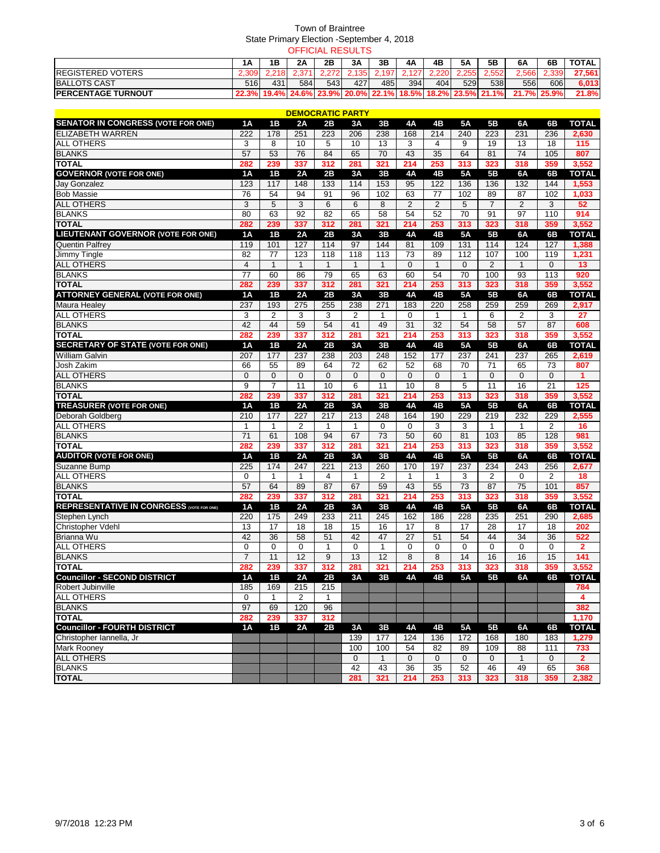|                            |     |     |                  |       | <b>OFFICIAL RESULTS</b> |       |       |       |       |                                                             |             |       |              |
|----------------------------|-----|-----|------------------|-------|-------------------------|-------|-------|-------|-------|-------------------------------------------------------------|-------------|-------|--------------|
|                            | 1Α  | 1Β  | 2Α               | 2Β    | ЗA                      | 3В    | 4A    | 4B    | 5Α    | 5Β                                                          | 6A          | 6Β    | <b>TOTAL</b> |
| <b>IREGISTERED VOTERS</b>  |     |     |                  | 2.272 | 135 <sup>2</sup>        | 2.197 | 2.127 | 2.220 | 2.255 | 2.552                                                       | 2.566       | 2.339 | 27.561       |
| <b>BALLOTS CAST</b>        | 516 | 431 | 584 <sub>1</sub> | 543   | 4271                    | 485   | 394   | 4041  | 529   | 538I                                                        | 556         | 606   | 6,013        |
| <b>IPERCENTAGE TURNOUT</b> |     |     |                  |       |                         |       |       |       |       | 22.3% 19.4% 24.6% 23.9% 20.0% 22.1% 18.5% 18.2% 23.5% 21.1% | 21.7% 25.9% |       | 21.8%        |

|                                                  |                  |                 | <u>DEMOCRATIC PARTY</u> |                   |                |                  |                 |                 |                  |                |                  |                  |                 |
|--------------------------------------------------|------------------|-----------------|-------------------------|-------------------|----------------|------------------|-----------------|-----------------|------------------|----------------|------------------|------------------|-----------------|
| <b>SENATOR IN CONGRESS (VOTE FOR ONE)</b>        | <b>1A</b>        | 1B              | 2A                      | 2B                | 3A             | 3B               | <b>4A</b>       | 4B              | <b>5A</b>        | 5B             | 6A               | 6B               | <b>TOTAL</b>    |
| <b>ELIZABETH WARREN</b>                          | 222              | 178             | 251                     | 223               | 206            | 238              | 168             | 214             | 240              | 223            | 231              | 236              | 2,630           |
| <b>ALL OTHERS</b>                                | 3                | 8               | 10                      | 5                 | 10             | $\overline{13}$  | 3               | 4               | 9                | 19             | $\overline{13}$  | 18               | 115             |
| <b>BLANKS</b>                                    | 57               | 53              | 76                      | 84                | 65             | 70               | 43              | 35              | 64               | 81             | 74               | 105              | 807             |
| <b>TOTAL</b>                                     | 282              | 239             | 337                     | 312               | 281            | 321              | 214             | 253             | 313              | 323            | 318              | 359              | 3,552           |
| <b>GOVERNOR (VOTE FOR ONE)</b>                   | <b>1A</b>        | 1B              | 2A                      | 2B                | 3A             | 3B               | <b>4A</b>       | 4B              | 5A               | 5B             | 6A               | 6B               | <b>TOTAL</b>    |
| Jay Gonzalez                                     | 123              | 117             | 148                     | 133               | 114            | 153              | 95              | 122             | 136              | 136            | 132              | 144              | 1,553           |
| <b>Bob Massie</b>                                | 76               | 54              | 94                      | 91                | 96             | 102              | 63              | $\overline{77}$ | 102              | 89             | 87               | 102              | 1,033           |
| <b>ALL OTHERS</b>                                | 3                | 5               | 3                       | 6                 | 6              | 8                | $\overline{2}$  | $\overline{2}$  | $\overline{5}$   | $\overline{7}$ | $\overline{2}$   | 3                | 52              |
| <b>BLANKS</b>                                    | 80               | 63              | 92                      | 82                | 65             | 58               | 54              | 52              | 70               | 91             | 97               | 110              | 914             |
| <b>TOTAL</b>                                     | 282              | 239             | 337                     | 312               | 281            | 321              | 214             | 253             | 313              | 323            | 318              | 359              | 3,552           |
| <b>LIEUTENANT GOVERNOR (VOTE FOR ONE)</b>        | <b>1A</b>        | 1B              | 2A                      | 2B                | 3A             | 3B               | <b>4A</b>       | 4B              | <b>5A</b>        | 5 <b>B</b>     | 6A               | 6B               | <b>TOTAL</b>    |
| <b>Quentin Palfrey</b>                           | 119              | 101             | 127                     | $\frac{114}{114}$ | 97             | 144              | 81              | 109             | $\overline{131}$ | 114            | 124              | 127              | 1,388           |
| Jimmy Tingle                                     | 82               | 77              | 123                     | 118               | 118            | $\overline{113}$ | 73              | 89              | 112              | 107            | 100              | 119              | 1,231           |
| <b>ALL OTHERS</b>                                | $\overline{4}$   | $\mathbf{1}$    | $\mathbf{1}$            | $\mathbf{1}$      | $\mathbf{1}$   | $\mathbf{1}$     | $\mathbf 0$     | $\mathbf{1}$    | 0                | $\overline{2}$ | $\mathbf{1}$     | $\mathbf 0$      | 13              |
| <b>BLANKS</b>                                    | $\overline{77}$  | 60              | 86                      | 79                | 65             | 63               | 60              | 54              | 70               | 100            | $\overline{93}$  | $\overline{113}$ | 920             |
| <b>TOTAL</b>                                     | 282              | 239             | 337                     | 312               | 281            | 321              | 214             | 253             | 313              | 323            | 318              | 359              | 3,552           |
| <b>ATTORNEY GENERAL (VOTE FOR ONE)</b>           | <b>1A</b>        | 1B              | 2A                      | 2B                | 3A             | 3B               | <b>4A</b>       | 4B              | 5A               | 5B             | 6A               | 6B               | <b>TOTAL</b>    |
| <b>Maura Healey</b>                              | 237              | 193             | $\overline{275}$        | 255               | 238            | 271              | 183             | 220             | 258              | 259            | 259              | 269              | 2,917           |
| ALL OTHERS                                       | 3                | $\overline{2}$  | 3                       | 3                 | $\overline{2}$ | 1                | $\mathbf 0$     | $\mathbf{1}$    | 1                | 6              | $\overline{2}$   | 3                | $\overline{27}$ |
| <b>BLANKS</b>                                    | 42               | 44              | 59                      | 54                | 41             | 49               | 31              | $\overline{32}$ | 54               | 58             | 57               | 87               | 608             |
| <b>TOTAL</b>                                     | 282              | 239             | 337                     | 312               | 281            | 321              | 214             | 253             | 313              | 323            | 318              | 359              | 3,552           |
| <b>SECRETARY OF STATE (VOTE FOR ONE)</b>         | 1A               | 1B              | 2A                      | 2B                | 3A             | 3B               | <b>4A</b>       | 4B              | 5A               | 5 <b>B</b>     | 6A               | 6B               | <b>TOTAL</b>    |
| <b>William Galvin</b>                            | 207              | 177             | 237                     | 238               | 203            | 248              | 152             | 177             | 237              | 241            | 237              | 265              | 2,619           |
| Josh Zakim                                       | 66               | 55              | 89                      | 64                | 72             | 62               | 52              | 68              | 70               | 71             | 65               | $\overline{73}$  | 807             |
| <b>ALL OTHERS</b>                                | $\mathbf 0$      | $\Omega$        | $\Omega$                | $\Omega$          | $\mathbf{0}$   | $\Omega$         | $\mathbf 0$     | $\mathbf{0}$    | $\mathbf{1}$     | $\Omega$       | $\Omega$         | $\mathbf{0}$     | 1               |
|                                                  | 9                | $\overline{7}$  | 11                      | 10                | 6              | 11               | 10              | 8               | 5                | 11             | 16               | 21               | 125             |
| <b>BLANKS</b><br><b>TOTAL</b>                    | 282              | 239             | 337                     | 312               | 281            | 321              | 214             | 253             | 313              | 323            | 318              | 359              | 3,552           |
| <b>TREASURER (VOTE FOR ONE)</b>                  | 1A               | 1B              | 2A                      | 2B                | 3A             | 3B               | <b>4A</b>       | 4B              | <b>5A</b>        | 5 <b>B</b>     | 6A               | 6B               | <b>TOTAL</b>    |
|                                                  |                  | 177             |                         |                   |                |                  |                 | 190             | 229              | 219            | 232              |                  |                 |
| Deborah Goldberg                                 | 210              |                 | 227                     | 217               | 213            | 248              | 164             |                 |                  |                |                  | 229              | 2,555           |
|                                                  |                  |                 |                         |                   |                |                  |                 |                 |                  |                |                  |                  |                 |
| <b>ALL OTHERS</b>                                | 1                | 1               | 2                       | $\mathbf 1$       | 1              | $\Omega$         | $\Omega$        | 3               | 3                | $\mathbf{1}$   | 1                | $\overline{2}$   | 16              |
| <b>BLANKS</b>                                    | $\overline{71}$  | 61              | 108                     | 94                | 67             | 73               | 50              | 60              | 81               | 103            | 85               | 128              | 981             |
| <b>TOTAL</b>                                     | 282              | 239             | 337                     | 312               | 281            | 321              | 214             | 253             | 313              | 323            | 318              | 359              | 3,552           |
| <b>AUDITOR (VOTE FOR ONE)</b>                    | <b>1A</b>        | 1B              | 2A                      | 2B                | 3A             | 3B               | <b>4A</b>       | 4B              | 5A               | 5 <b>B</b>     | 6A               | 6B               | <b>TOTAL</b>    |
| Suzanne Bump                                     | $\overline{225}$ | 174             | 247                     | 221               | 213            | 260              | 170             | 197             | 237              | 234            | $\overline{243}$ | 256              | 2,677           |
| <b>ALL OTHERS</b>                                | $\mathbf 0$      | 1               | 1                       | 4                 | 1              | $\overline{c}$   | 1               | $\mathbf{1}$    | 3                | $\overline{2}$ | 0                | $\overline{2}$   | 18              |
| <b>BLANKS</b>                                    | 57               | 64              | 89                      | 87                | 67             | 59               | 43              | 55              | $\overline{73}$  | 87             | $\overline{75}$  | 101              | 857             |
| <b>TOTAL</b>                                     | 282              | 239             | 337                     | 312               | 281            | 321              | 214             | 253             | 313              | 323            | 318              | 359              | 3,552           |
| <b>REPRESENTATIVE IN CONRGESS (VOTE FOR ONE)</b> | 1A               | 1B              | 2A                      | 2B                | 3A             | 3B               | <b>4A</b>       | 4B              | <b>5A</b>        | 5B             | 6A               | 6B               | <b>TOTAL</b>    |
| Stephen Lynch                                    | 220              | 175             | 249                     | 233               | 211            | 245              | 162             | 186             | 228              | 235            | 251              | 290              | 2,685           |
| Christopher Vdehl                                | 13               | 17              | 18                      | 18                | 15             | 16               | 17              | 8               | 17               | 28             | 17               | 18               | 202             |
| Brianna Wu                                       | 42               | $\overline{36}$ | 58                      | 51                | 42             | 47               | $\overline{27}$ | $\overline{51}$ | 54               | 44             | $\overline{34}$  | $\overline{36}$  | 522             |
| <b>ALL OTHERS</b>                                | 0                | 0               | 0                       | 1                 | 0              | $\mathbf{1}$     | 0               | $\mathbf 0$     | 0                | $\mathbf 0$    | 0                | 0                | $\mathbf{2}$    |
| <b>BLANKS</b>                                    | $\overline{7}$   | 11              | 12                      | 9                 | 13             | $\overline{12}$  | 8               | 8               | 14               | 16             | 16               | 15               | 141             |
| <b>TOTAL</b>                                     | 282              | 239             | 337                     | 312               | 281            | 321              | 214             | 253             | 313              | 323            | 318              | 359              | 3,552           |
| <b>Councillor - SECOND DISTRICT</b>              | 1A               | 1B              | 2A                      | 2B                | 3A             | 3B               | <b>4A</b>       | 4B              | 5A               | 5B             | 6A               | 6B               | <b>TOTAL</b>    |
| Robert Jubinville                                | 185              | 169             | 215                     | 215               |                |                  |                 |                 |                  |                |                  |                  | 784             |
| <b>ALL OTHERS</b>                                | $\mathbf 0$      | 1               | $\overline{2}$          | $\mathbf{1}$      |                |                  |                 |                 |                  |                |                  |                  | 4               |
| <b>BLANKS</b>                                    | 97               | 69              | 120                     | 96                |                |                  |                 |                 |                  |                |                  |                  | 382             |
| <b>TOTAL</b>                                     | 282              | 239             | 337                     | 312               |                |                  |                 |                 |                  |                |                  |                  | 1,170           |
| <b>Councillor - FOURTH DISTRICT</b>              | <b>1A</b>        | 1B              | 2A                      | 2B                | 3A             | 3B               | <b>4A</b>       | 4B              | 5A               | 5B             | 6A               | 6B               | <b>TOTAL</b>    |
| Christopher Iannella, Jr                         |                  |                 |                         |                   | 139            | 177              | 124             | 136             | 172              | 168            | 180              | 183              | 1,279           |
| <b>Mark Rooney</b>                               |                  |                 |                         |                   | 100            | 100              | 54              | $\overline{82}$ | 89               | 109            | 88               | 111              | 733             |
| <b>ALL OTHERS</b>                                |                  |                 |                         |                   | $\mathbf{0}$   | $\mathbf{1}$     | $\mathbf{0}$    | $\mathbf{0}$    | $\mathbf{0}$     | $\mathbf{0}$   | $\mathbf{1}$     | $\mathbf{0}$     | $\overline{2}$  |
| <b>BLANKS</b><br><b>TOTAL</b>                    |                  |                 |                         |                   | 42<br>281      | 43<br>321        | 36<br>214       | 35<br>253       | 52<br>313        | 46<br>323      | 49<br>318        | 65<br>359        | 368             |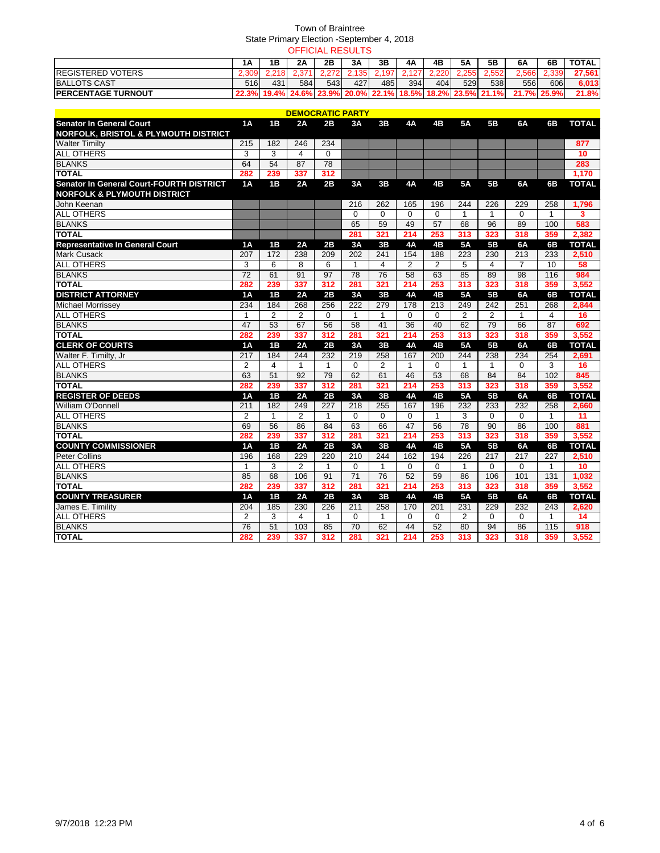|                            |      |     |     |     | <b>OFFICIAL RESULTS</b> |       |       |      |       |                                                             |             |       |              |
|----------------------------|------|-----|-----|-----|-------------------------|-------|-------|------|-------|-------------------------------------------------------------|-------------|-------|--------------|
|                            | 1Α   | 1Β  | 2A  | 2Β  | 3A                      | 3Β    | 4Α    | 4B   | 5Α    | 5Β                                                          | 6A          | 6Β    | <b>TOTAL</b> |
| <b>IREGISTERED VOTERS</b>  |      |     |     | 272 | 135 <sup>2</sup>        | 2.197 | . 127 |      | 2.255 | 2.552                                                       | 2.566       | 2.339 | 27.561       |
| <b>BALLOTS CAST</b>        | 516l | 431 | 584 | 543 | 427 I                   | 485   | 394   | 4041 | 529   | 538I                                                        | 556         | 606   | 6,013        |
| <b>IPERCENTAGE TURNOUT</b> |      |     |     |     |                         |       |       |      |       | 22.3% 19.4% 24.6% 23.9% 20.0% 22.1% 18.5% 18.2% 23.5% 21.1% | 21.7% 25.9% |       | 21.8%        |

|                                                 |                 |                 |                |                 | <b>DEMOCRATIC PARTY</b> |              |                 |                |                  |                |                |              |              |
|-------------------------------------------------|-----------------|-----------------|----------------|-----------------|-------------------------|--------------|-----------------|----------------|------------------|----------------|----------------|--------------|--------------|
| <b>Senator In General Court</b>                 | 1A              | <b>1B</b>       | 2A             | 2B              | 3A                      | 3B           | <b>4A</b>       | 4B             | <b>5A</b>        | <b>5B</b>      | 6A             | 6B           | <b>TOTAL</b> |
| <b>NORFOLK, BRISTOL &amp; PLYMOUTH DISTRICT</b> |                 |                 |                |                 |                         |              |                 |                |                  |                |                |              |              |
| <b>Walter Timilty</b>                           | 215             | 182             | 246            | 234             |                         |              |                 |                |                  |                |                |              | 877          |
| <b>ALL OTHERS</b>                               | 3               | 3               | 4              | $\Omega$        |                         |              |                 |                |                  |                |                |              | 10           |
| <b>BLANKS</b>                                   | 64              | $\overline{54}$ | 87             | 78              |                         |              |                 |                |                  |                |                |              | 283          |
| <b>TOTAL</b>                                    | 282             | 239             | 337            | 312             |                         |              |                 |                |                  |                |                |              | 1,170        |
| Senator In General Court-FOURTH DISTRICT        | 1A              | 1B              | 2A             | 2B              | 3A                      | 3B           | <b>4A</b>       | 4Β             | 5A               | 5B             | 6A             | 6B           | <b>TOTAL</b> |
| <b>NORFOLK &amp; PLYMOUTH DISTRICT</b>          |                 |                 |                |                 |                         |              |                 |                |                  |                |                |              |              |
| John Keenan                                     |                 |                 |                |                 | 216                     | 262          | 165             | 196            | 244              | 226            | 229            | 258          | 1,796        |
| <b>ALL OTHERS</b>                               |                 |                 |                |                 | $\Omega$                | $\Omega$     | $\Omega$        | $\mathbf 0$    | 1                | $\mathbf{1}$   | $\Omega$       | 1            | 3            |
| <b>BLANKS</b>                                   |                 |                 |                |                 | 65                      | 59           | 49              | 57             | 68               | 96             | 89             | 100          | 583          |
| <b>TOTAL</b>                                    |                 |                 |                |                 | 281                     | 321          | 214             | 253            | 313              | 323            | 318            | 359          | 2,382        |
| <b>Representative In General Court</b>          | 1A              | 1B              | 2A             | 2B              | 3A                      | 3B           | 4A              | 4B             | 5A               | 5B             | 6A             | 6B           | <b>TOTAL</b> |
| <b>Mark Cusack</b>                              | 207             | 172             | 238            | 209             | 202                     | 241          | 154             | 188            | 223              | 230            | 213            | 233          | 2,510        |
| <b>ALL OTHERS</b>                               | 3               | 6               | 8              | 6               | $\mathbf{1}$            | 4            | $\overline{2}$  | $\overline{2}$ | 5                | $\overline{4}$ | $\overline{7}$ | 10           | 58           |
| <b>BLANKS</b>                                   | $\overline{72}$ | 61              | 91             | $\overline{97}$ | 78                      | 76           | 58              | 63             | 85               | 89             | 98             | 116          | 984          |
| <b>TOTAL</b>                                    | 282             | 239             | 337            | 312             | 281                     | 321          | 214             | 253            | 313              | 323            | 318            | 359          | 3,552        |
| <b>DISTRICT ATTORNEY</b>                        | 1A              | 1B              | 2A             | 2B              | 3A                      | 3B           | <b>4A</b>       | 4B             | 5A               | 5B             | 6A             | 6B           | <b>TOTAL</b> |
| <b>Michael Morrissey</b>                        | 234             | 184             | 268            | 256             | 222                     | 279          | 178             | 213            | 249              | 242            | 251            | 268          | 2,844        |
| <b>ALL OTHERS</b>                               | $\mathbf{1}$    | $\overline{2}$  | $\overline{2}$ | $\Omega$        | $\mathbf{1}$            | $\mathbf{1}$ | $\Omega$        | $\Omega$       | $\overline{2}$   | $\overline{2}$ | $\mathbf{1}$   | 4            | 16           |
| <b>BLANKS</b>                                   | 47              | 53              | 67             | 56              | 58                      | 41           | $\overline{36}$ | 40             | 62               | 79             | 66             | 87           | 692          |
| <b>TOTAL</b>                                    | 282             | 239             | 337            | 312             | 281                     | 321          | 214             | 253            | 313              | 323            | 318            | 359          | 3,552        |
| <b>CLERK OF COURTS</b>                          | 1A              | 1B              | 2A             | 2B              | 3A                      | 3B           | <b>4A</b>       | 4B             | 5A               | 5B             | 6A             | 6B           | <b>TOTAL</b> |
| Walter F. Timilty, Jr                           | 217             | 184             | 244            | 232             | 219                     | 258          | 167             | 200            | 244              | 238            | 234            | 254          | 2,691        |
| <b>ALL OTHERS</b>                               | $\overline{2}$  | 4               | $\mathbf{1}$   | 1               | $\Omega$                | 2            | $\mathbf{1}$    | $\mathbf 0$    | $\mathbf{1}$     | $\mathbf{1}$   | $\Omega$       | 3            | 16           |
| <b>BLANKS</b>                                   | 63              | 51              | 92             | 79              | 62                      | 61           | 46              | 53             | 68               | 84             | 84             | 102          | 845          |
| <b>TOTAL</b>                                    | 282             | 239             | 337            | 312             | 281                     | 321          | 214             | 253            | 313              | 323            | 318            | 359          | 3,552        |
| <b>REGISTER OF DEEDS</b>                        | 1A              | 1B              | 2A             | 2B              | 3A                      | 3B           | 4A              | 4B             | <b>5A</b>        | 5B             | 6A             | 6B           | <b>TOTAL</b> |
| William O'Donnell                               | 211             | 182             | 249            | 227             | 218                     | 255          | 167             | 196            | 232              | 233            | 232            | 258          | 2,660        |
| <b>ALL OTHERS</b>                               | $\overline{2}$  | $\mathbf{1}$    | $\overline{2}$ | $\mathbf{1}$    | $\mathbf 0$             | $\mathbf 0$  | $\mathbf 0$     | $\mathbf{1}$   | 3                | $\Omega$       | $\mathbf 0$    | $\mathbf{1}$ | 11           |
| <b>BLANKS</b>                                   | 69              | 56              | 86             | 84              | 63                      | 66           | 47              | 56             | 78               | 90             | 86             | 100          | 881          |
| <b>TOTAL</b>                                    | 282             | 239             | 337            | 312             | 281                     | 321          | 214             | 253            | 313              | 323            | 318            | 359          | 3,552        |
| <b>COUNTY COMMISSIONER</b>                      | 1A              | 1B              | 2A             | 2B              | 3A                      | 3B           | 4A              | 4B             | 5A               | 5B             | 6A             | 6B           | <b>TOTAL</b> |
| <b>Peter Collins</b>                            | 196             | 168             | 229            | 220             | 210                     | 244          | 162             | 194            | $\overline{226}$ | 217            | 217            | 227          | 2,510        |
| <b>ALL OTHERS</b>                               | $\mathbf{1}$    | 3               | 2              | $\mathbf{1}$    | $\Omega$                | $\mathbf{1}$ | $\Omega$        | $\Omega$       | $\mathbf{1}$     | $\Omega$       | $\Omega$       | $\mathbf{1}$ | 10           |
| <b>BLANKS</b>                                   | 85              | 68              | 106            | 91              | $\overline{71}$         | 76           | 52              | 59             | 86               | 106            | 101            | 131          | 1,032        |
| <b>TOTAL</b>                                    | 282             | 239             | 337            | 312             | 281                     | 321          | 214             | 253            | 313              | 323            | 318            | 359          | 3,552        |
| <b>COUNTY TREASURER</b>                         | <b>1A</b>       | 1B              | 2A             | 2B              | 3A                      | 3B           | 4A              | 4B             | <b>5A</b>        | 5B             | 6A             | 6B           | <b>TOTAL</b> |
| James E. Timility                               | 204             | 185             | 230            | 226             | 211                     | 258          | 170             | 201            | 231              | 229            | 232            | 243          | 2.620        |
| <b>ALL OTHERS</b>                               | $\overline{2}$  | 3               | 4              | 1               | 0                       | 1            | $\mathbf 0$     | $\mathbf 0$    | $\overline{2}$   | $\Omega$       | $\Omega$       | 1            | 14           |
| <b>BLANKS</b>                                   | 76              | 51              | 103            | 85              | $\overline{70}$         | 62           | 44              | 52             | 80               | 94             | 86             | 115          | 918          |
| <b>TOTAL</b>                                    | 282             | 239             | 337            | 312             | 281                     | 321          | 214             | 253            | 313              | 323            | 318            | 359          | 3,552        |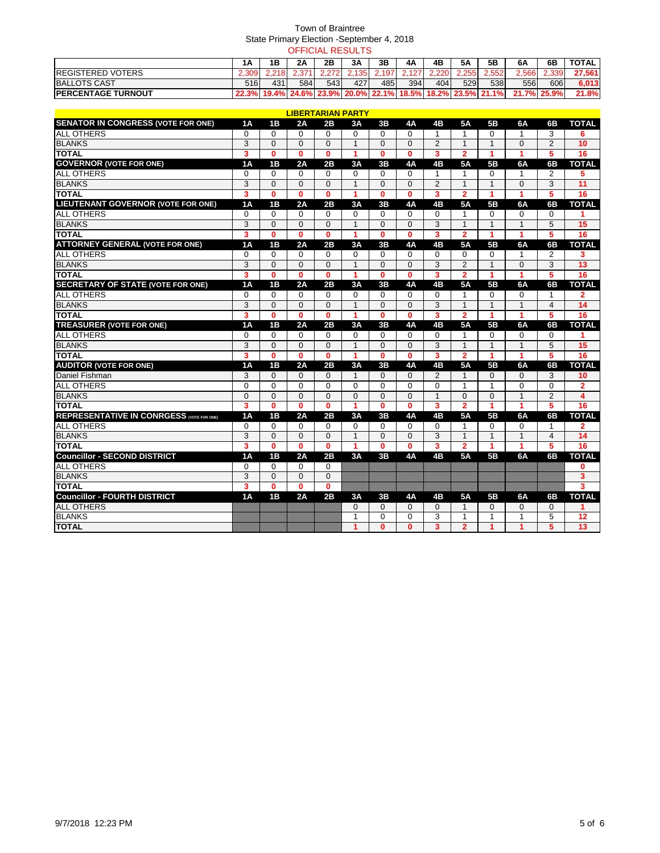|                            |      |     |     | OFFICIAL RESULTS |      |       |     |       |           |                                                                      |       |             |              |
|----------------------------|------|-----|-----|------------------|------|-------|-----|-------|-----------|----------------------------------------------------------------------|-------|-------------|--------------|
|                            | 1Α   | 1Β  | 2Α  | 2Β               | 3A   | 3Β    | 4A  | 4B    | <b>5A</b> | 5Β                                                                   | 6A    | 6B          | <b>TOTAL</b> |
| <b>IREGISTERED VOTERS</b>  |      |     |     | 2272             | .135 | 2.197 | 127 | 2.220 | 2.255     | 2.552                                                                | 2.566 | 2.339       | 27,561       |
| <b>BALLOTS CAST</b>        | 516l | 431 | 584 | 543              | 4271 | 485   | 394 | 4041  | 529       | 538                                                                  | 556   | 606         | 6,013        |
| <b>IPERCENTAGE TURNOUT</b> |      |     |     |                  |      |       |     |       |           | 22.3%  19.4%  24.6%  23.9%  20.0%  22.1%  18.5%  18.2%  23.5%  21.1% |       | 21.7% 25.9% | 21.8%        |

|                                                  |                         |              | <b>LIBERTARIAN PARTY</b> |              |              |              |                |                         |                |                |                      |                |                 |
|--------------------------------------------------|-------------------------|--------------|--------------------------|--------------|--------------|--------------|----------------|-------------------------|----------------|----------------|----------------------|----------------|-----------------|
| <b>SENATOR IN CONGRESS (VOTE FOR ONE)</b>        | 1Α                      | <b>1B</b>    | 2A                       | 2B           | 3A           | 3В           | 4Α             | 4B                      | <b>5A</b>      | 5 <b>B</b>     | 6A                   | 6В             | <b>TOTAL</b>    |
| <b>ALL OTHERS</b>                                | $\Omega$                | $\Omega$     | $\Omega$                 | $\Omega$     | 0            | 0            | $\Omega$       | 1                       | 1              | $\Omega$       | 1                    | 3              | 6               |
| <b>BLANKS</b>                                    | 3                       | $\Omega$     | $\Omega$                 | $\Omega$     | $\mathbf{1}$ | $\Omega$     | $\Omega$       | $\overline{2}$          | $\mathbf{1}$   | $\overline{1}$ | $\Omega$             | $\overline{2}$ | 10              |
| <b>TOTAL</b>                                     | 3                       | $\bf{0}$     | $\mathbf{0}$             | $\mathbf{0}$ | 1            | $\bf{0}$     | $\bf{0}$       | 3                       | $\overline{2}$ | 1              | 1                    | 5              | 16              |
| <b>GOVERNOR (VOTE FOR ONE)</b>                   | 1A                      | 1B           | 2A                       | 2B           | 3A           | 3В           | <b>4A</b>      | 4B                      | <b>5A</b>      | <b>5B</b>      | 6A                   | 6B             | <b>TOTAL</b>    |
| <b>ALL OTHERS</b>                                | $\mathbf 0$             | $\Omega$     | $\Omega$                 | $\Omega$     | $\Omega$     | $\Omega$     | $\Omega$       | $\mathbf{1}$            | 1              | $\Omega$       | 1                    | 2              | 5               |
| <b>BLANKS</b>                                    | 3                       | $\mathbf{0}$ | $\mathbf{0}$             | $\Omega$     | $\mathbf{1}$ | $\Omega$     | $\mathbf 0$    | $\overline{c}$          | $\mathbf{1}$   | $\mathbf{1}$   | $\mathbf{0}$         | 3              | 11              |
| <b>TOTAL</b>                                     | $\overline{\mathbf{3}}$ | $\bf{0}$     | $\bf{0}$                 | $\mathbf{0}$ | 1            | $\bf{0}$     | $\bf{0}$       | 3                       | $\overline{2}$ | 1              | $\blacktriangleleft$ | 5              | 16              |
| <b>LIEUTENANT GOVERNOR (VOTE FOR ONE)</b>        | 1A                      | 1B           | 2A                       | 2B           | 3A           | 3B           | 4A             | 4B                      | <b>5A</b>      | 5B             | 6A                   | 6B             | <b>TOTAL</b>    |
| <b>ALL OTHERS</b>                                | $\mathbf 0$             | $\Omega$     | $\Omega$                 | $\Omega$     | $\Omega$     | 0            | $\Omega$       | $\mathbf 0$             | 1              | $\Omega$       | 0                    | 0              |                 |
| <b>BLANKS</b>                                    | $\overline{3}$          | $\Omega$     | $\Omega$                 | $\Omega$     | $\mathbf{1}$ | $\Omega$     | $\Omega$       | 3                       | $\mathbf{1}$   | $\overline{1}$ | 1                    | 5              | 15              |
| <b>TOTAL</b>                                     | $\overline{\mathbf{3}}$ | $\bf{0}$     | $\mathbf{0}$             | $\mathbf{0}$ | 1            | $\bf{0}$     | $\bf{0}$       | 3                       | $\overline{2}$ | 1              | 1                    | 5              | 16              |
| <b>ATTORNEY GENERAL (VOTE FOR ONE)</b>           | 1A                      | 1B           | 2A                       | 2B           | 3A           | 3B           | <b>4A</b>      | 4B                      | <b>5A</b>      | 5 <b>B</b>     | 6A                   | 6B             | <b>TOTAL</b>    |
| <b>ALL OTHERS</b>                                | $\mathbf 0$             | 0            | $\Omega$                 | $\Omega$     | 0            | $\Omega$     | 0              | $\mathbf 0$             | 0              | $\Omega$       | 1                    | $\overline{2}$ | 3               |
| <b>BLANKS</b>                                    | 3                       | 0            | $\Omega$                 | $\Omega$     | $\mathbf{1}$ | $\Omega$     | $\Omega$       | 3                       | $\overline{2}$ | $\overline{1}$ | $\Omega$             | 3              | 13              |
| <b>TOTAL</b>                                     | 3                       | $\bf{0}$     | $\bf{0}$                 | $\bf{0}$     | 1            | 0            | 0              | 3                       | $\mathbf{2}$   | -1             | 1                    | 5              | 16              |
| <b>SECRETARY OF STATE (VOTE FOR ONE)</b>         | 1A                      | 1B           | 2A                       | 2B           | 3A           | 3B           | <b>4A</b>      | 4B                      | <b>5A</b>      | 5 <b>B</b>     | 6A                   | 6B             | <b>TOTAL</b>    |
| <b>ALL OTHERS</b>                                | $\Omega$                | $\Omega$     | $\Omega$                 | $\Omega$     | $\Omega$     | $\Omega$     | $\Omega$       | $\Omega$                | 1              | $\Omega$       | $\Omega$             | $\mathbf{1}$   | $\mathbf{2}$    |
| <b>BLANKS</b>                                    | 3                       | $\Omega$     | $\Omega$                 | $\Omega$     | $\mathbf{1}$ | $\Omega$     | $\Omega$       | 3                       | $\mathbf{1}$   | $\mathbf{1}$   | 1                    | $\overline{4}$ | 14              |
| <b>TOTAL</b>                                     | $\overline{\mathbf{3}}$ | $\bf{0}$     | $\bf{0}$                 | $\mathbf{0}$ | 1            | $\bf{0}$     | $\bf{0}$       | 3                       | $\overline{2}$ | 1              | 1                    | 5              | 16              |
| <b>TREASURER (VOTE FOR ONE)</b>                  | 1A                      | 1B           | 2A                       | 2B           | 3A           | 3B           | <b>4A</b>      | 4B                      | <b>5A</b>      | 5 <b>B</b>     | 6A                   | 6B             | <b>TOTAL</b>    |
| <b>ALL OTHERS</b>                                | $\Omega$                | $\Omega$     | $\Omega$                 | $\Omega$     | $\Omega$     | $\Omega$     | $\Omega$       | $\mathbf 0$             | 1              | $\Omega$       | $\Omega$             | $\Omega$       |                 |
| <b>BLANKS</b>                                    | $\overline{3}$          | $\Omega$     | $\Omega$                 | $\Omega$     | $\mathbf{1}$ | $\Omega$     | $\Omega$       | 3                       | $\mathbf{1}$   | $\overline{1}$ | $\mathbf{1}$         | 5              | 15              |
| <b>TOTAL</b>                                     | $\overline{\mathbf{3}}$ | $\mathbf{0}$ | $\mathbf{0}$             | $\mathbf{0}$ | 1            | $\bf{0}$     | $\bf{0}$       | $\overline{\mathbf{3}}$ | $\overline{2}$ | 1              | 1                    | 5              | 16              |
| <b>AUDITOR (VOTE FOR ONE)</b>                    | 1A                      | 1B           | 2A                       | 2B           | 3A           | 3B           | 4A             | 4Β                      | <b>5A</b>      | 5 <sub>B</sub> | 6A                   | 6B             | <b>TOTAL</b>    |
| Daniel Fishman                                   | 3                       | $\Omega$     | $\Omega$                 | $\Omega$     | 1            | $\Omega$     | $\Omega$       | 2                       | 1              | $\Omega$       | $\Omega$             | 3              | 10              |
| <b>ALL OTHERS</b>                                | $\Omega$                | $\Omega$     | $\Omega$                 | $\Omega$     | $\Omega$     | $\Omega$     | $\Omega$       | $\Omega$                | 1              | 1              | $\Omega$             | $\Omega$       | $\overline{2}$  |
| <b>BLANKS</b>                                    | $\mathbf 0$             | $\Omega$     | $\Omega$                 | $\Omega$     | 0            | $\Omega$     | $\Omega$       | 1                       | 0              | $\Omega$       | 1                    | 2              | 4               |
| <b>TOTAL</b>                                     | 3                       | $\bf{0}$     | $\bf{0}$                 | $\mathbf{0}$ | 1            | $\mathbf{0}$ | $\bf{0}$       | 3                       | $\overline{2}$ | 1              | 1                    | 5              | 16              |
| <b>REPRESENTATIVE IN CONRGESS (VOTE FOR ONE)</b> | 1A                      | 1B           | 2A                       | 2B           | 3A           | 3B           | 4A             | 4 <sub>B</sub>          | 5A             | 5 <sub>B</sub> | 6A                   | 6B             | <b>TOTAL</b>    |
| <b>ALL OTHERS</b>                                | $\mathbf 0$             | $\Omega$     | $\Omega$                 | $\Omega$     | $\Omega$     | $\Omega$     | $\Omega$       | $\Omega$                | 1              | $\Omega$       | $\Omega$             | 1              | 2               |
| <b>BLANKS</b>                                    | $\overline{3}$          | $\Omega$     | $\Omega$                 | $\Omega$     | $\mathbf{1}$ | $\Omega$     | $\overline{0}$ | $\overline{3}$          | $\mathbf{1}$   | $\mathbf{1}$   | $\overline{1}$       | $\overline{4}$ | 14              |
| <b>TOTAL</b>                                     | $\overline{\mathbf{3}}$ | $\bf{0}$     | $\bf{0}$                 | $\mathbf 0$  | 1            | $\bf{0}$     | $\bf{0}$       | 3                       | $\overline{2}$ | 1              | 1                    | 5              | 16              |
| <b>Councillor - SECOND DISTRICT</b>              | 1A                      | 1B           | 2A                       | 2B           | 3A           | 3B           | <b>4A</b>      | 4B                      | <b>5A</b>      | 5 <b>B</b>     | 6A                   | 6B             | <b>TOTAL</b>    |
| <b>ALL OTHERS</b>                                | 0                       | 0            | 0                        | 0            |              |              |                |                         |                |                |                      |                | 0               |
| <b>BLANKS</b>                                    | 3                       | $\Omega$     | $\Omega$                 | $\Omega$     |              |              |                |                         |                |                |                      |                | 3               |
| <b>TOTAL</b>                                     | $\overline{\mathbf{3}}$ | $\bf{0}$     | $\mathbf{0}$             | $\mathbf{0}$ |              |              |                |                         |                |                |                      |                | 3               |
| <b>Councillor - FOURTH DISTRICT</b>              | 1A                      | 1B           | 2A                       | 2B           | 3A           | 3B           | <b>4A</b>      | 4B                      | <b>5A</b>      | 5 <b>B</b>     | 6A                   | 6B             | <b>TOTAL</b>    |
| <b>ALL OTHERS</b>                                |                         |              |                          |              | 0            | 0            | $\Omega$       | $\mathbf 0$             | 1              | $\Omega$       | 0                    | $\Omega$       |                 |
| <b>BLANKS</b>                                    |                         |              |                          |              | 1            | $\Omega$     | $\mathbf{0}$   | 3                       | 1              | 1              | 1                    | 5              | $\overline{12}$ |
| <b>TOTAL</b>                                     |                         |              |                          |              | 1            | $\bf{0}$     | $\bf{0}$       | 3                       | $\overline{2}$ | 1              | 1                    | 5              | 13              |